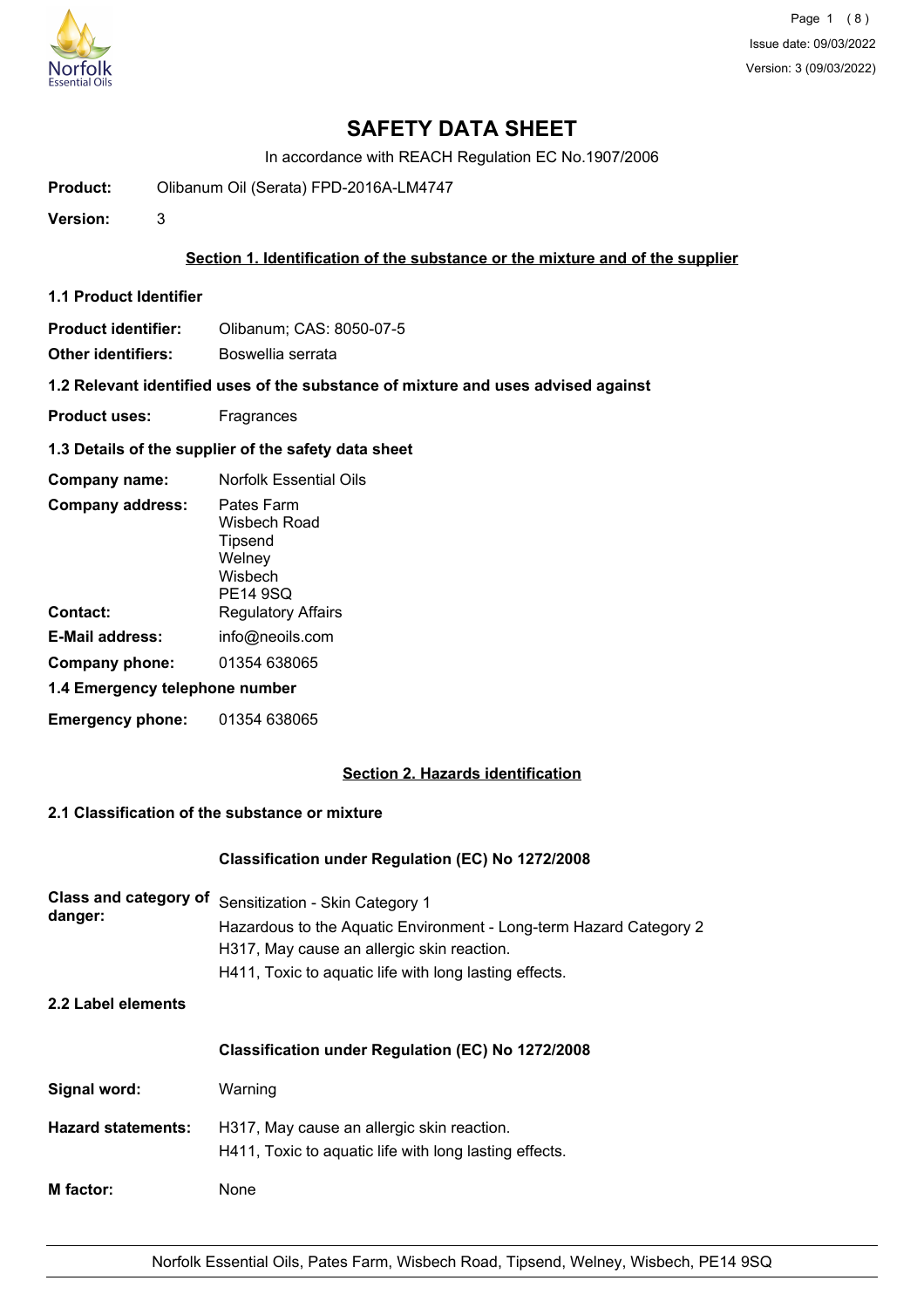

In accordance with REACH Regulation EC No.1907/2006

**Product:** Olibanum Oil (Serata) FPD-2016A-LM4747

**Version:** 3

## **Section 1. Identification of the substance or the mixture and of the supplier**

**1.1 Product Identifier**

**Product identifier:** Olibanum; CAS: 8050-07-5

**Other identifiers:** Boswellia serrata

**1.2 Relevant identified uses of the substance of mixture and uses advised against**

- **Product uses:** Fragrances
- **1.3 Details of the supplier of the safety data sheet**

| Company name:                  | Norfolk Essential Oils                                                        |
|--------------------------------|-------------------------------------------------------------------------------|
| <b>Company address:</b>        | Pates Farm<br>Wisbech Road<br>Tipsend<br>Welney<br>Wisbech<br><b>PE14 9SQ</b> |
| Contact:                       | <b>Regulatory Affairs</b>                                                     |
| <b>E-Mail address:</b>         | info@neoils.com                                                               |
| Company phone:                 | 01354 638065                                                                  |
| 1.4 Emergency telephone number |                                                                               |
| <b>Emergency phone:</b>        | 01354 638065                                                                  |

## **Section 2. Hazards identification**

## **2.1 Classification of the substance or mixture**

#### **Classification under Regulation (EC) No 1272/2008**

| Class and category of<br>danger: | Sensitization - Skin Category 1<br>Hazardous to the Aquatic Environment - Long-term Hazard Category 2<br>H317, May cause an allergic skin reaction.<br>H411, Toxic to aquatic life with long lasting effects. |
|----------------------------------|---------------------------------------------------------------------------------------------------------------------------------------------------------------------------------------------------------------|
| 2.2 Label elements               |                                                                                                                                                                                                               |
|                                  | Classification under Regulation (EC) No 1272/2008                                                                                                                                                             |
| Signal word:                     | Warning                                                                                                                                                                                                       |
| <b>Hazard statements:</b>        | H317, May cause an allergic skin reaction.<br>H411, Toxic to aquatic life with long lasting effects.                                                                                                          |
| <b>M</b> factor:                 | None                                                                                                                                                                                                          |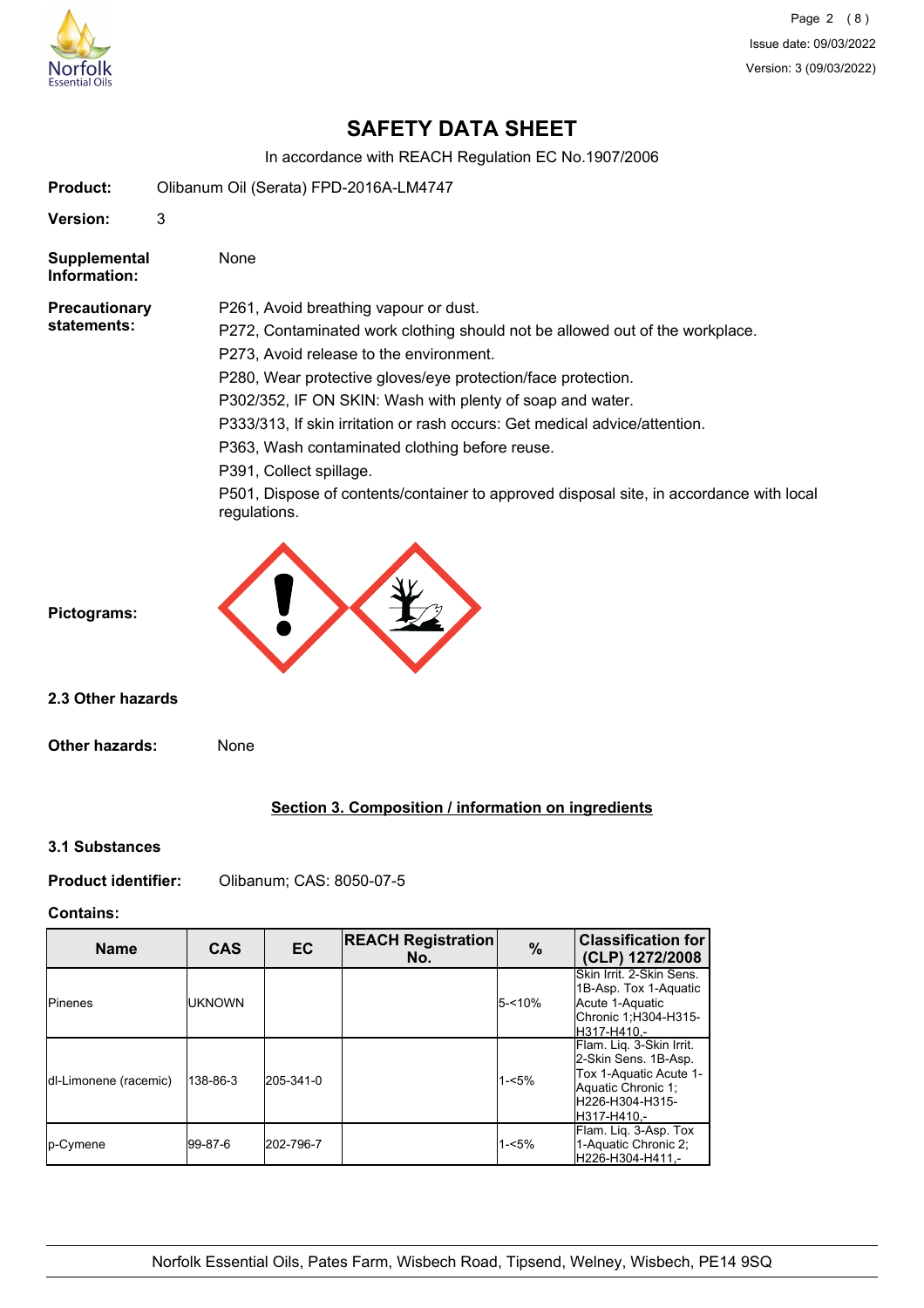

**Version:** 3

# **SAFETY DATA SHEET**

In accordance with REACH Regulation EC No.1907/2006

**Supplemental** None **Information:** P261, Avoid breathing vapour or dust. P272, Contaminated work clothing should not be allowed out of the workplace. P273, Avoid release to the environment. P280, Wear protective gloves/eye protection/face protection. P302/352, IF ON SKIN: Wash with plenty of soap and water. P333/313, If skin irritation or rash occurs: Get medical advice/attention. P363, Wash contaminated clothing before reuse. P391, Collect spillage. P501, Dispose of contents/container to approved disposal site, in accordance with local regulations. **Precautionary statements: Pictograms: Other hazards:** None **2.3 Other hazards**

## **Section 3. Composition / information on ingredients**

**3.1 Substances**

**Product identifier:** Olibanum; CAS: 8050-07-5

**Product:** Olibanum Oil (Serata) FPD-2016A-LM4747

## **Contains:**

| <b>Name</b>                   | <b>CAS</b> | <b>EC</b> | <b>REACH Registration</b><br>No. | $\%$      | <b>Classification for</b><br>(CLP) 1272/2008                                                                                       |
|-------------------------------|------------|-----------|----------------------------------|-----------|------------------------------------------------------------------------------------------------------------------------------------|
| <b>Pinenes</b>                | iuknown    |           |                                  | $5 - 10%$ | Skin Irrit, 2-Skin Sens.<br>1B-Asp. Tox 1-Aquatic<br>Acute 1-Aquatic<br>Chronic 1;H304-H315-<br>H317-H410.-                        |
| <b>Idl-Limonene</b> (racemic) | 138-86-3   | 205-341-0 |                                  | $1 - 5%$  | Flam. Lig. 3-Skin Irrit.<br>2-Skin Sens. 1B-Asp.<br>Tox 1-Aquatic Acute 1-<br>Aquatic Chronic 1:<br>H226-H304-H315-<br>H317-H410.- |
| p-Cymene                      | 199-87-6   | 202-796-7 |                                  | 1-<5%     | Flam. Lig. 3-Asp. Tox<br>1-Aquatic Chronic 2:<br>H226-H304-H411.-                                                                  |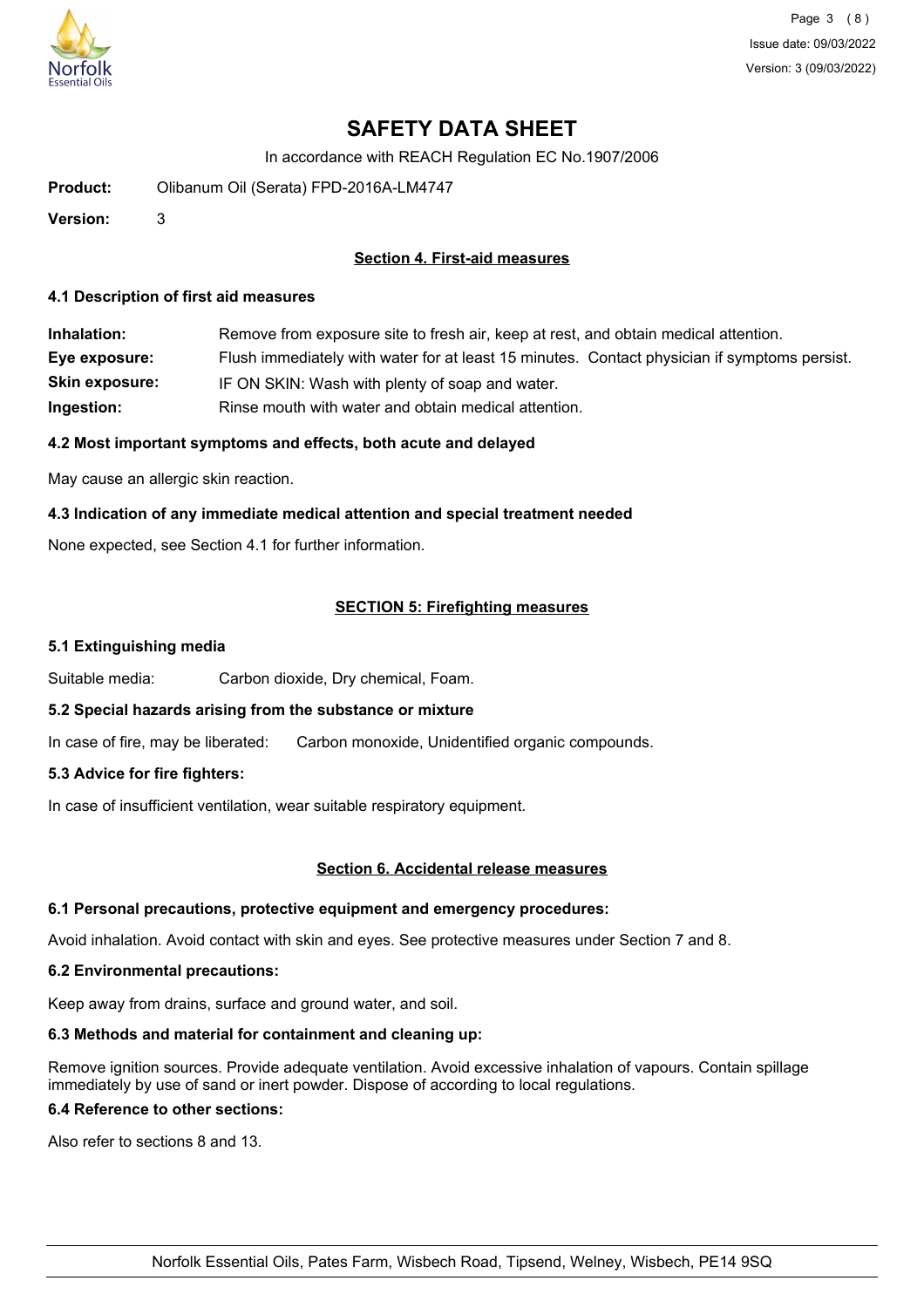

Page 3 (8) Issue date: 09/03/2022 Version: 3 (09/03/2022)

# **SAFETY DATA SHEET**

In accordance with REACH Regulation EC No.1907/2006

**Product:** Olibanum Oil (Serata) FPD-2016A-LM4747

**Version:** 3

## **Section 4. First-aid measures**

#### **4.1 Description of first aid measures**

**Inhalation:** Remove from exposure site to fresh air, keep at rest, and obtain medical attention. **Eye exposure:** Flush immediately with water for at least 15 minutes. Contact physician if symptoms persist. **Skin exposure:** IF ON SKIN: Wash with plenty of soap and water. **Ingestion:** Rinse mouth with water and obtain medical attention.

## **4.2 Most important symptoms and effects, both acute and delayed**

May cause an allergic skin reaction.

## **4.3 Indication of any immediate medical attention and special treatment needed**

None expected, see Section 4.1 for further information.

## **SECTION 5: Firefighting measures**

#### **5.1 Extinguishing media**

Suitable media: Carbon dioxide, Dry chemical, Foam.

#### **5.2 Special hazards arising from the substance or mixture**

In case of fire, may be liberated: Carbon monoxide, Unidentified organic compounds.

## **5.3 Advice for fire fighters:**

In case of insufficient ventilation, wear suitable respiratory equipment.

#### **Section 6. Accidental release measures**

#### **6.1 Personal precautions, protective equipment and emergency procedures:**

Avoid inhalation. Avoid contact with skin and eyes. See protective measures under Section 7 and 8.

#### **6.2 Environmental precautions:**

Keep away from drains, surface and ground water, and soil.

#### **6.3 Methods and material for containment and cleaning up:**

Remove ignition sources. Provide adequate ventilation. Avoid excessive inhalation of vapours. Contain spillage immediately by use of sand or inert powder. Dispose of according to local regulations.

#### **6.4 Reference to other sections:**

Also refer to sections 8 and 13.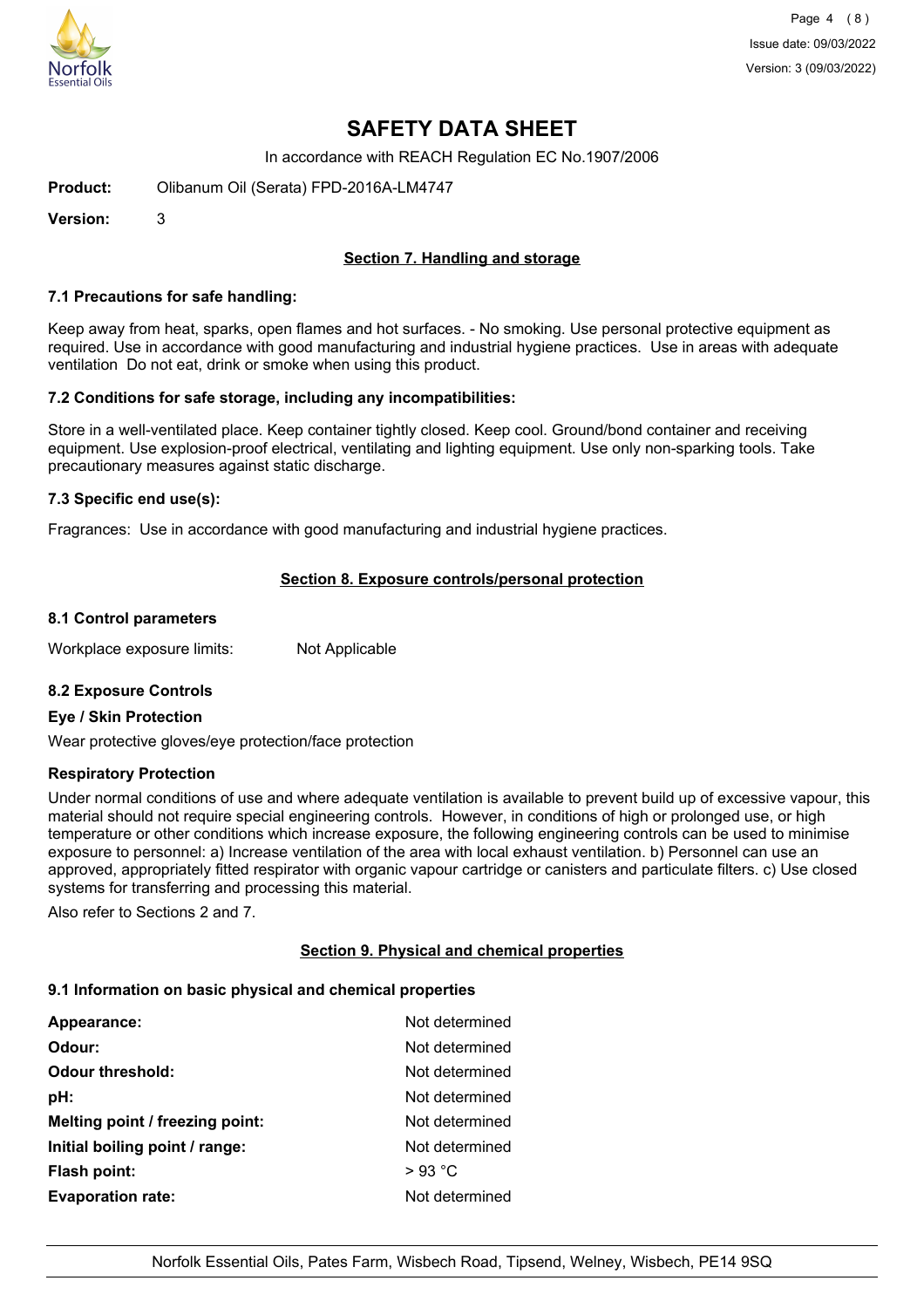

Page 4 (8) Issue date: 09/03/2022 Version: 3 (09/03/2022)

## **SAFETY DATA SHEET**

In accordance with REACH Regulation EC No.1907/2006

**Product:** Olibanum Oil (Serata) FPD-2016A-LM4747

**Version:** 3

## **Section 7. Handling and storage**

#### **7.1 Precautions for safe handling:**

Keep away from heat, sparks, open flames and hot surfaces. - No smoking. Use personal protective equipment as required. Use in accordance with good manufacturing and industrial hygiene practices. Use in areas with adequate ventilation Do not eat, drink or smoke when using this product.

#### **7.2 Conditions for safe storage, including any incompatibilities:**

Store in a well-ventilated place. Keep container tightly closed. Keep cool. Ground/bond container and receiving equipment. Use explosion-proof electrical, ventilating and lighting equipment. Use only non-sparking tools. Take precautionary measures against static discharge.

#### **7.3 Specific end use(s):**

Fragrances: Use in accordance with good manufacturing and industrial hygiene practices.

## **Section 8. Exposure controls/personal protection**

#### **8.1 Control parameters**

Workplace exposure limits: Not Applicable

## **8.2 Exposure Controls**

#### **Eye / Skin Protection**

Wear protective gloves/eye protection/face protection

#### **Respiratory Protection**

Under normal conditions of use and where adequate ventilation is available to prevent build up of excessive vapour, this material should not require special engineering controls. However, in conditions of high or prolonged use, or high temperature or other conditions which increase exposure, the following engineering controls can be used to minimise exposure to personnel: a) Increase ventilation of the area with local exhaust ventilation. b) Personnel can use an approved, appropriately fitted respirator with organic vapour cartridge or canisters and particulate filters. c) Use closed systems for transferring and processing this material.

Also refer to Sections 2 and 7.

## **Section 9. Physical and chemical properties**

#### **9.1 Information on basic physical and chemical properties**

| <b>Appearance:</b>              | Not determined |
|---------------------------------|----------------|
| Odour:                          | Not determined |
| <b>Odour threshold:</b>         | Not determined |
| pH:                             | Not determined |
| Melting point / freezing point: | Not determined |
| Initial boiling point / range:  | Not determined |
| Flash point:                    | $>93$ °C       |
| <b>Evaporation rate:</b>        | Not determined |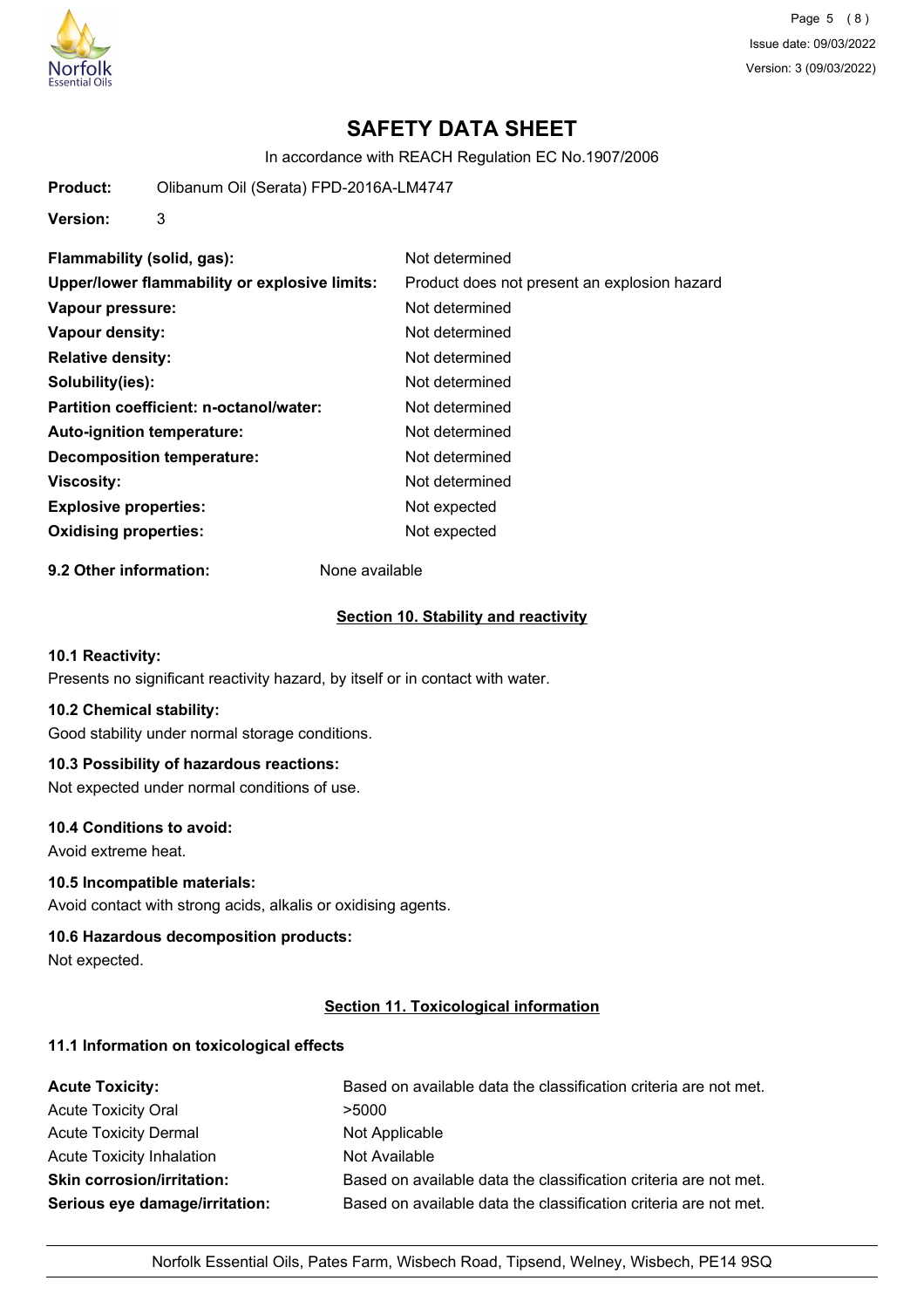

Page 5 (8) Issue date: 09/03/2022 Version: 3 (09/03/2022)

# **SAFETY DATA SHEET**

In accordance with REACH Regulation EC No.1907/2006

**Product:** Olibanum Oil (Serata) FPD-2016A-LM4747

**Version:** 3

| Flammability (solid, gas):                    | Not determined                               |
|-----------------------------------------------|----------------------------------------------|
| Upper/lower flammability or explosive limits: | Product does not present an explosion hazard |
| Vapour pressure:                              | Not determined                               |
| Vapour density:                               | Not determined                               |
| <b>Relative density:</b>                      | Not determined                               |
| Solubility(ies):                              | Not determined                               |
| Partition coefficient: n-octanol/water:       | Not determined                               |
| Auto-ignition temperature:                    | Not determined                               |
| Decomposition temperature:                    | Not determined                               |
| <b>Viscosity:</b>                             | Not determined                               |
| <b>Explosive properties:</b>                  | Not expected                                 |
| <b>Oxidising properties:</b>                  | Not expected                                 |

**9.2 Other information:** None available

#### **Section 10. Stability and reactivity**

## **10.1 Reactivity:**

Presents no significant reactivity hazard, by itself or in contact with water.

## **10.2 Chemical stability:**

Good stability under normal storage conditions.

## **10.3 Possibility of hazardous reactions:**

Not expected under normal conditions of use.

### **10.4 Conditions to avoid:**

Avoid extreme heat.

## **10.5 Incompatible materials:**

Avoid contact with strong acids, alkalis or oxidising agents.

#### **10.6 Hazardous decomposition products:**

Not expected.

## **Section 11. Toxicological information**

## **11.1 Information on toxicological effects**

| <b>Acute Toxicity:</b>            | Based on available data the classification criteria are not met. |
|-----------------------------------|------------------------------------------------------------------|
| <b>Acute Toxicity Oral</b>        | >5000                                                            |
| <b>Acute Toxicity Dermal</b>      | Not Applicable                                                   |
| Acute Toxicity Inhalation         | Not Available                                                    |
| <b>Skin corrosion/irritation:</b> | Based on available data the classification criteria are not met. |
| Serious eye damage/irritation:    | Based on available data the classification criteria are not met. |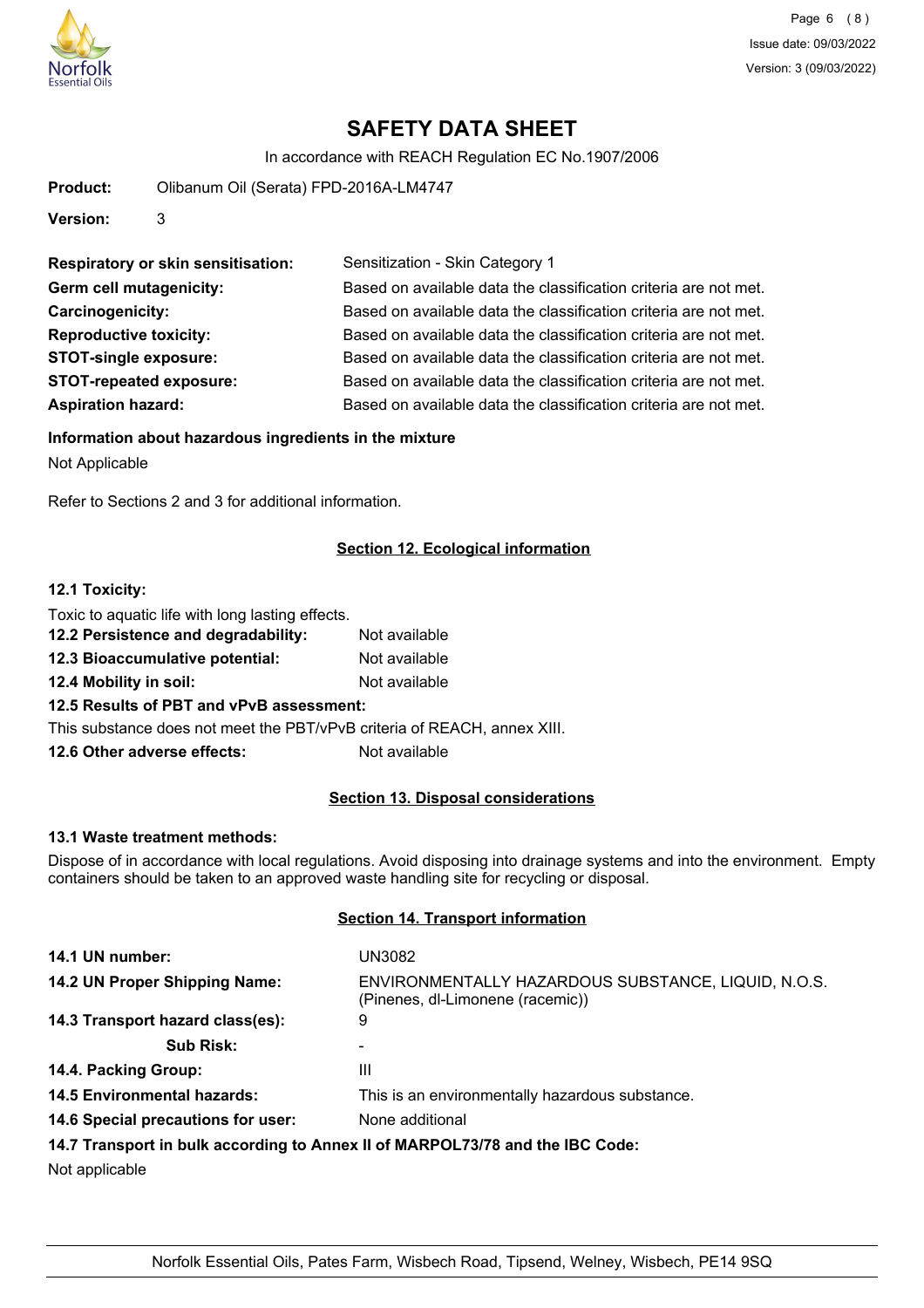

In accordance with REACH Regulation EC No.1907/2006

| Product: | Olibanum Oil (Serata) FPD-2016A-LM4747 |
|----------|----------------------------------------|
| Version: |                                        |

| <b>Respiratory or skin sensitisation:</b> | Sensitization - Skin Category 1                                  |
|-------------------------------------------|------------------------------------------------------------------|
| Germ cell mutagenicity:                   | Based on available data the classification criteria are not met. |
| Carcinogenicity:                          | Based on available data the classification criteria are not met. |
| <b>Reproductive toxicity:</b>             | Based on available data the classification criteria are not met. |
| <b>STOT-single exposure:</b>              | Based on available data the classification criteria are not met. |
| <b>STOT-repeated exposure:</b>            | Based on available data the classification criteria are not met. |
| <b>Aspiration hazard:</b>                 | Based on available data the classification criteria are not met. |

## **Information about hazardous ingredients in the mixture**

Not Applicable

Refer to Sections 2 and 3 for additional information.

## **Section 12. Ecological information**

## **12.1 Toxicity:**

| Toxic to aquatic life with long lasting effects.             |               |
|--------------------------------------------------------------|---------------|
| 12.2 Persistence and degradability:                          | Not available |
| 12.3 Bioaccumulative potential:                              | Not available |
| 12.4 Mobility in soil:                                       | Not available |
| 12.5 Results of PBT and vPvB assessment:                     |               |
| This substance does not meet the PBT/vPvB criteria of REACH, |               |
|                                                              |               |

## **12.6 Other adverse effects:** Not available

#### **Section 13. Disposal considerations**

annex XIII.

#### **13.1 Waste treatment methods:**

Dispose of in accordance with local regulations. Avoid disposing into drainage systems and into the environment. Empty containers should be taken to an approved waste handling site for recycling or disposal.

## **Section 14. Transport information**

| 14.1 UN number:                    | UN3082                                                                                  |
|------------------------------------|-----------------------------------------------------------------------------------------|
| 14.2 UN Proper Shipping Name:      | ENVIRONMENTALLY HAZARDOUS SUBSTANCE, LIQUID, N.O.S.<br>(Pinenes, dl-Limonene (racemic)) |
| 14.3 Transport hazard class(es):   | 9                                                                                       |
| <b>Sub Risk:</b>                   |                                                                                         |
| 14.4. Packing Group:               | Ш                                                                                       |
| <b>14.5 Environmental hazards:</b> | This is an environmentally hazardous substance.                                         |
| 14.6 Special precautions for user: | None additional                                                                         |
|                                    | 14.7 Transport in bulk according to Annex II of MARPOL73/78 and the IBC Code:           |
| Not applicable                     |                                                                                         |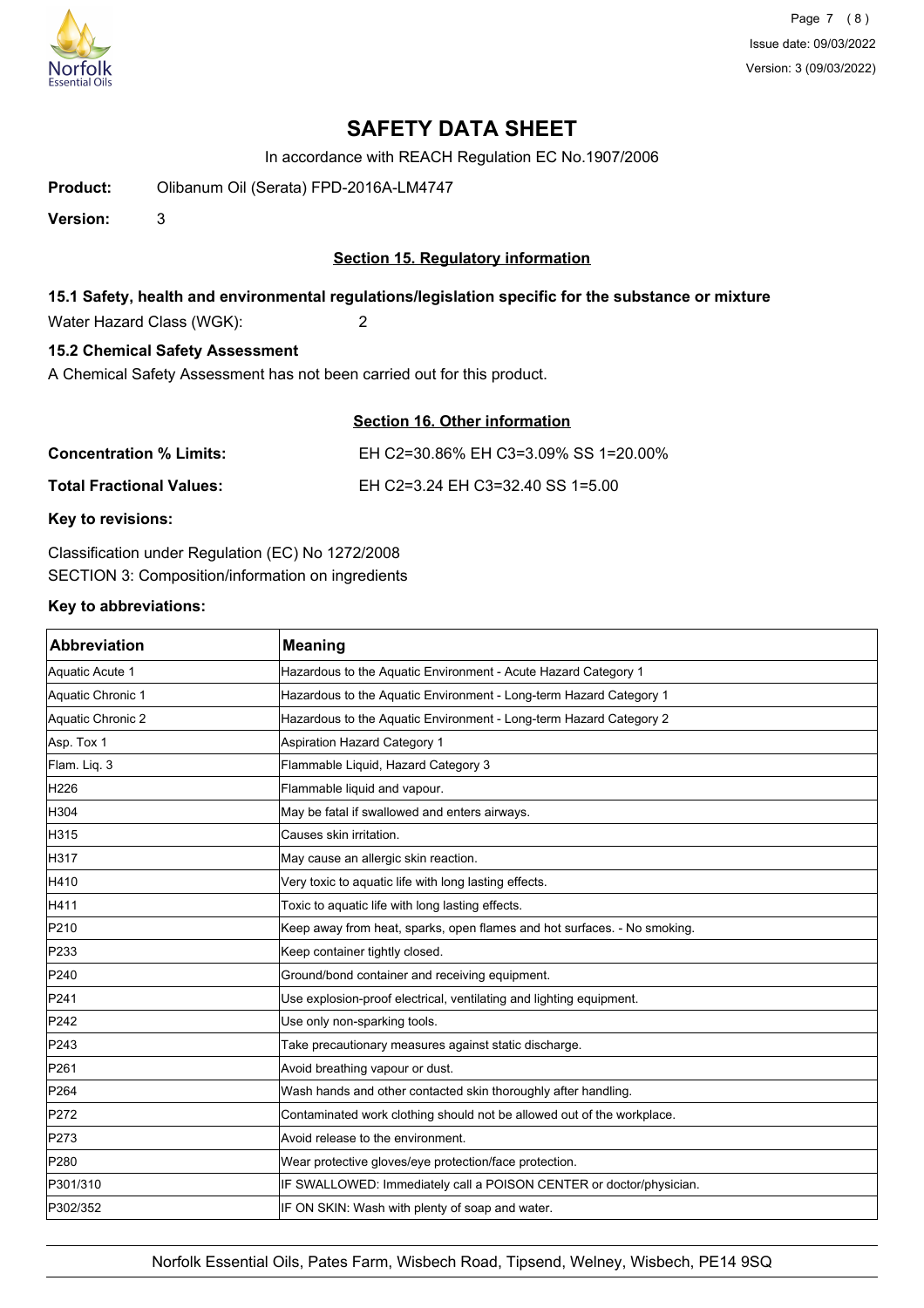

In accordance with REACH Regulation EC No.1907/2006

**Product:** Olibanum Oil (Serata) FPD-2016A-LM4747

**Version:** 3

## **Section 15. Regulatory information**

## **15.1 Safety, health and environmental regulations/legislation specific for the substance or mixture**

Water Hazard Class (WGK): 2

## **15.2 Chemical Safety Assessment**

A Chemical Safety Assessment has not been carried out for this product.

## **Section 16. Other information**

| <b>Concentration % Limits:</b>  | EH C2=30.86% EH C3=3.09% SS 1=20.00% |
|---------------------------------|--------------------------------------|
| <b>Total Fractional Values:</b> | EH C2=3.24 EH C3=32.40 SS 1=5.00     |

**Key to revisions:**

Classification under Regulation (EC) No 1272/2008 SECTION 3: Composition/information on ingredients

## **Key to abbreviations:**

| Abbreviation      | <b>Meaning</b>                                                           |
|-------------------|--------------------------------------------------------------------------|
| Aquatic Acute 1   | Hazardous to the Aquatic Environment - Acute Hazard Category 1           |
| Aquatic Chronic 1 | Hazardous to the Aquatic Environment - Long-term Hazard Category 1       |
| Aquatic Chronic 2 | Hazardous to the Aquatic Environment - Long-term Hazard Category 2       |
| Asp. Tox 1        | Aspiration Hazard Category 1                                             |
| Flam. Liq. 3      | Flammable Liquid, Hazard Category 3                                      |
| H <sub>226</sub>  | Flammable liquid and vapour.                                             |
| H304              | May be fatal if swallowed and enters airways.                            |
| H315              | Causes skin irritation.                                                  |
| H317              | May cause an allergic skin reaction.                                     |
| H410              | Very toxic to aquatic life with long lasting effects.                    |
| H411              | Toxic to aquatic life with long lasting effects.                         |
| P210              | Keep away from heat, sparks, open flames and hot surfaces. - No smoking. |
| P233              | Keep container tightly closed.                                           |
| P240              | Ground/bond container and receiving equipment.                           |
| P241              | Use explosion-proof electrical, ventilating and lighting equipment.      |
| P242              | Use only non-sparking tools.                                             |
| P243              | Take precautionary measures against static discharge.                    |
| P261              | Avoid breathing vapour or dust.                                          |
| P264              | Wash hands and other contacted skin thoroughly after handling.           |
| P272              | Contaminated work clothing should not be allowed out of the workplace.   |
| P273              | Avoid release to the environment.                                        |
| P280              | Wear protective gloves/eye protection/face protection.                   |
| P301/310          | IF SWALLOWED: Immediately call a POISON CENTER or doctor/physician.      |
| P302/352          | IF ON SKIN: Wash with plenty of soap and water.                          |